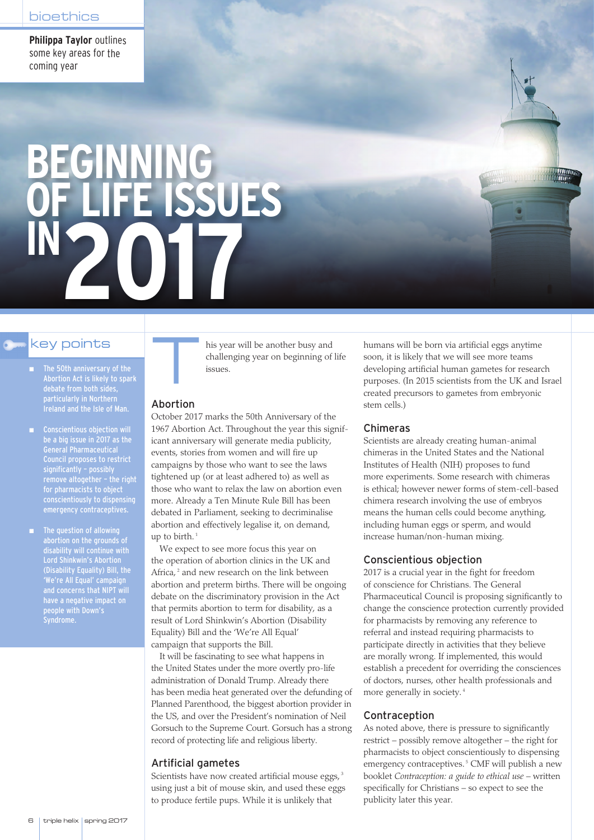**Philippa Taylor** outlines some key areas for the coming year

# **BEGINNING OF LIFE ISSUES IN 2017**

- The 50th anniversary of the Abortion Act is likely to spark particularly in Northern Ireland and the Isle of Man.
- Conscientious objection will be a big issue in 2017 as the General Pharmaceutical Council proposes to restrict significantly – possibly remove altogether – the right for pharmacists to object conscientiously to dispensing emergency contraceptives.
- The question of allowing abortion on the grounds of disability will continue with Lord Shinkwin's Abortion (Disability Equality) Bill, the 'We're All Equal' campaign and concerns that NIPT will have a negative impact on people with Down's Syndrome.

debate from both sides, key points This year will be another busy and challenging year on beginning of life issues.

#### Abortion

October 2017 marks the 50th Anniversary of the 1967 Abortion Act. Throughout the year this significant anniversary will generate media publicity, events, stories from women and will fire up campaigns by those who want to see the laws tightened up (or at least adhered to) as well as those who want to relax the law on abortion even more. Already a Ten Minute Rule Bill has been debated in Parliament, seeking to decriminalise abortion and effectively legalise it, on demand, up to birth. $1$ 

We expect to see more focus this year on the operation of abortion clinics in the UK and Africa,<sup>2</sup> and new research on the link between abortion and preterm births. There will be ongoing debate on the discriminatory provision in the Act that permits abortion to term for disability, as a result of Lord Shinkwin's Abortion (Disability Equality) Bill and the 'We're All Equal' campaign that supports the Bill.

It will be fascinating to see what happens in the United States under the more overtly pro-life administration of Donald Trump. Already there has been media heat generated over the defunding of Planned Parenthood, the biggest abortion provider in the US, and over the President's nomination of Neil Gorsuch to the Supreme Court. Gorsuch has a strong record of protecting life and religious liberty.

# Artificial gametes

Scientists have now created artificial mouse eggs,<sup>3</sup> using just a bit of mouse skin, and used these eggs to produce fertile pups. While it is unlikely that

humans will be born via artificial eggs anytime soon, it is likely that we will see more teams developing artificial human gametes for research purposes. (In 2015 scientists from the UK and Israel created precursors to gametes from embryonic stem cells.)

# Chimeras

Scientists are already creating human-animal chimeras in the United States and the National Institutes of Health (NIH) proposes to fund more experiments. Some research with chimeras is ethical; however newer forms of stem-cell-based chimera research involving the use of embryos means the human cells could become anything, including human eggs or sperm, and would increase human/non-human mixing.

#### Conscientious objection

2017 is a crucial year in the fight for freedom of conscience for Christians. The General Pharmaceutical Council is proposing significantly to change the conscience protection currently provided for pharmacists by removing any reference to referral and instead requiring pharmacists to participate directly in activities that they believe are morally wrong. If implemented, this would establish a precedent for overriding the consciences of doctors, nurses, other health professionals and more generally in society. <sup>4</sup>

# Contraception

As noted above, there is pressure to significantly restrict – possibly remove altogether – the right for pharmacists to object conscientiously to dispensing emergency contraceptives.<sup>5</sup> CMF will publish a new booklet *Contraception: a guide to ethical use* – written specifically for Christians – so expect to see the publicity later this year.